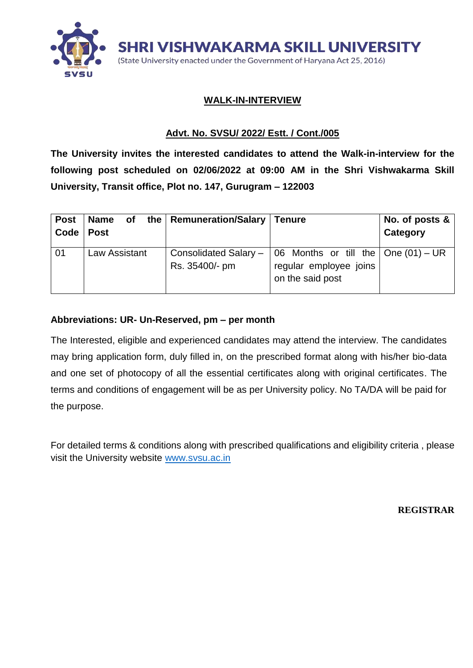

### **WALK-IN-INTERVIEW**

## **Advt. No. SVSU/ 2022/ Estt. / Cont./005**

**The University invites the interested candidates to attend the Walk-in-interview for the following post scheduled on 02/06/2022 at 09:00 AM in the Shri Vishwakarma Skill University, Transit office, Plot no. 147, Gurugram – 122003**

| <b>Post</b><br>Code | Name<br><b>Post</b> | of the   Remuneration/Salary   Tenure |                                                                                                                         | No. of posts &<br>Category |
|---------------------|---------------------|---------------------------------------|-------------------------------------------------------------------------------------------------------------------------|----------------------------|
| 01                  | Law Assistant       | Rs. 35400/- pm                        | Consolidated Salary – $\vert$ 06 Months or till the $\vert$ One (01) – UR<br>regular employee joins<br>on the said post |                            |

### **Abbreviations: UR- Un-Reserved, pm – per month**

The Interested, eligible and experienced candidates may attend the interview. The candidates may bring application form, duly filled in, on the prescribed format along with his/her bio-data and one set of photocopy of all the essential certificates along with original certificates. The terms and conditions of engagement will be as per University policy. No TA/DA will be paid for the purpose.

For detailed terms & conditions along with prescribed qualifications and eligibility criteria , please visit the University website [www.svsu.ac.in](http://www.svsu.ac.in/)

**REGISTRAR**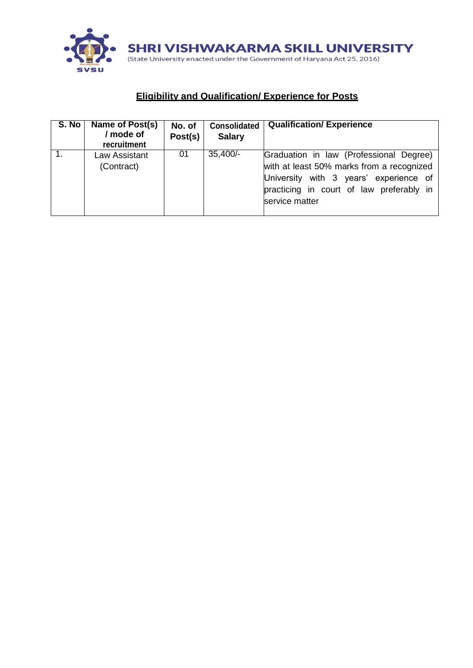

# **Eligibility and Qualification/ Experience for Posts**

| S. No | Name of Post(s)<br>/ mode of<br>recruitment | No. of<br>Post(s) | <b>Consolidated</b><br><b>Salary</b> | <b>Qualification/Experience</b>                                                                                                                                                              |
|-------|---------------------------------------------|-------------------|--------------------------------------|----------------------------------------------------------------------------------------------------------------------------------------------------------------------------------------------|
|       | Law Assistant<br>(Contract)                 | 01                | $35,400/-$                           | Graduation in law (Professional Degree)<br>with at least 50% marks from a recognized<br>University with 3 years' experience of<br>practicing in court of law preferably in<br>service matter |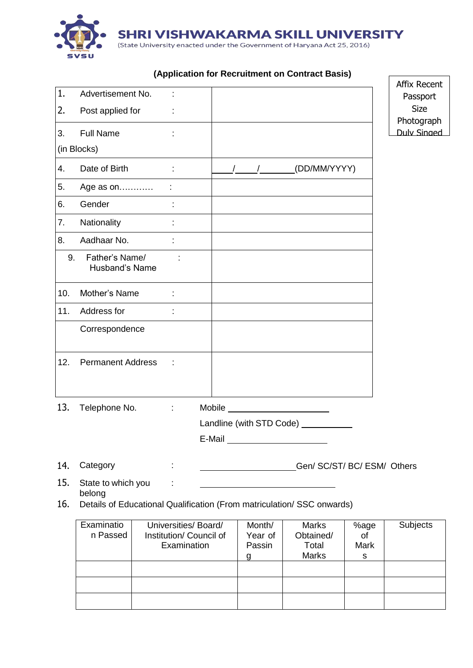

|     |                                  |                            |                                                                                                                                                                                                                                                                                                                                     | <b>Affix Recent</b>       |
|-----|----------------------------------|----------------------------|-------------------------------------------------------------------------------------------------------------------------------------------------------------------------------------------------------------------------------------------------------------------------------------------------------------------------------------|---------------------------|
| 1.  | Advertisement No.                |                            |                                                                                                                                                                                                                                                                                                                                     | Passport                  |
| 2.  | Post applied for                 | $\sim$                     |                                                                                                                                                                                                                                                                                                                                     | <b>Size</b><br>Photograph |
| 3.  | <b>Full Name</b>                 | t,                         |                                                                                                                                                                                                                                                                                                                                     | <b>Duly Singed</b>        |
|     | (in Blocks)                      |                            |                                                                                                                                                                                                                                                                                                                                     |                           |
| 4.  | Date of Birth                    | ÷                          | (DD/MM/YYYY)<br>$\frac{1}{2}$ $\frac{1}{2}$ $\frac{1}{2}$ $\frac{1}{2}$ $\frac{1}{2}$ $\frac{1}{2}$ $\frac{1}{2}$ $\frac{1}{2}$ $\frac{1}{2}$ $\frac{1}{2}$ $\frac{1}{2}$ $\frac{1}{2}$ $\frac{1}{2}$ $\frac{1}{2}$ $\frac{1}{2}$ $\frac{1}{2}$ $\frac{1}{2}$ $\frac{1}{2}$ $\frac{1}{2}$ $\frac{1}{2}$ $\frac{1}{2}$ $\frac{1}{2}$ |                           |
| 5.  | Age as on                        |                            |                                                                                                                                                                                                                                                                                                                                     |                           |
| 6.  | Gender                           | ÷                          |                                                                                                                                                                                                                                                                                                                                     |                           |
| 7.  | Nationality                      | ÷                          |                                                                                                                                                                                                                                                                                                                                     |                           |
| 8.  | Aadhaar No.                      |                            |                                                                                                                                                                                                                                                                                                                                     |                           |
| 9.  | Father's Name/<br>Husband's Name | t                          |                                                                                                                                                                                                                                                                                                                                     |                           |
| 10. | Mother's Name                    |                            |                                                                                                                                                                                                                                                                                                                                     |                           |
| 11. | Address for                      |                            |                                                                                                                                                                                                                                                                                                                                     |                           |
|     | Correspondence                   |                            |                                                                                                                                                                                                                                                                                                                                     |                           |
| 12. | <b>Permanent Address</b>         | ÷                          |                                                                                                                                                                                                                                                                                                                                     |                           |
| 13. | Telephone No.                    | $\mathcal{L}^{\text{max}}$ | Mobile _________________________                                                                                                                                                                                                                                                                                                    |                           |
|     |                                  |                            | Landline (with STD Code) _________                                                                                                                                                                                                                                                                                                  |                           |
|     |                                  |                            | E-Mail                                                                                                                                                                                                                                                                                                                              |                           |

#### **(Application for Recruitment on Contract Basis)**

14. Category : Character Contract Contract Contract Contract Contract Contract Contract Contract Contract Contract Contract Contract Contract Contract Contract Contract Contract Contract Contract Contract Contract Contract

15. State to which you : belong 16. Details of Educational Qualification (From matriculation/ SSC onwards)

Examinatio n Passed Universities/ Board/ Institution/ Council of **Examination** Month/ Year of Passin g **Marks** Obtained/ Total Marks %age of Mark s **Subjects**